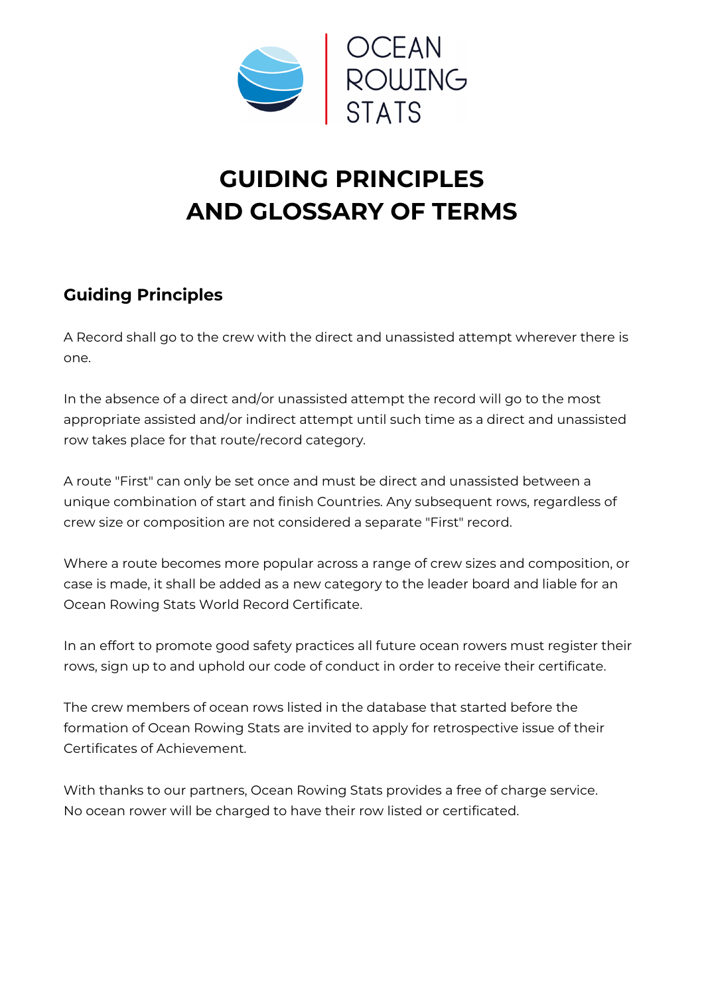

## **GUIDING PRINCIPLES AND GLOSSARY OF TERMS**

## **Guiding Principles**

A Record shall go to the crew with the direct and unassisted attempt wherever there is one.

In the absence of a direct and/or unassisted attempt the record will go to the most appropriate assisted and/or indirect attempt until such time as a direct and unassisted row takes place for that route/record category.

A route "First" can only be set once and must be direct and unassisted between a unique combination of start and finish Countries. Any subsequent rows, regardless of crew size or composition are not considered a separate "First" record.

Where a route becomes more popular across a range of crew sizes and composition, or case is made, it shall be added as a new category to the leader board and liable for an Ocean Rowing Stats World Record Certificate.

In an effort to promote good safety practices all future ocean rowers must register their rows, sign up to and uphold our code of conduct in order to receive their certificate.

The crew members of ocean rows listed in the database that started before the formation of Ocean Rowing Stats are invited to apply for retrospective issue of their Certificates of Achievement.

With thanks to our partners, Ocean Rowing Stats provides a free of charge service. No ocean rower will be charged to have their row listed or certificated.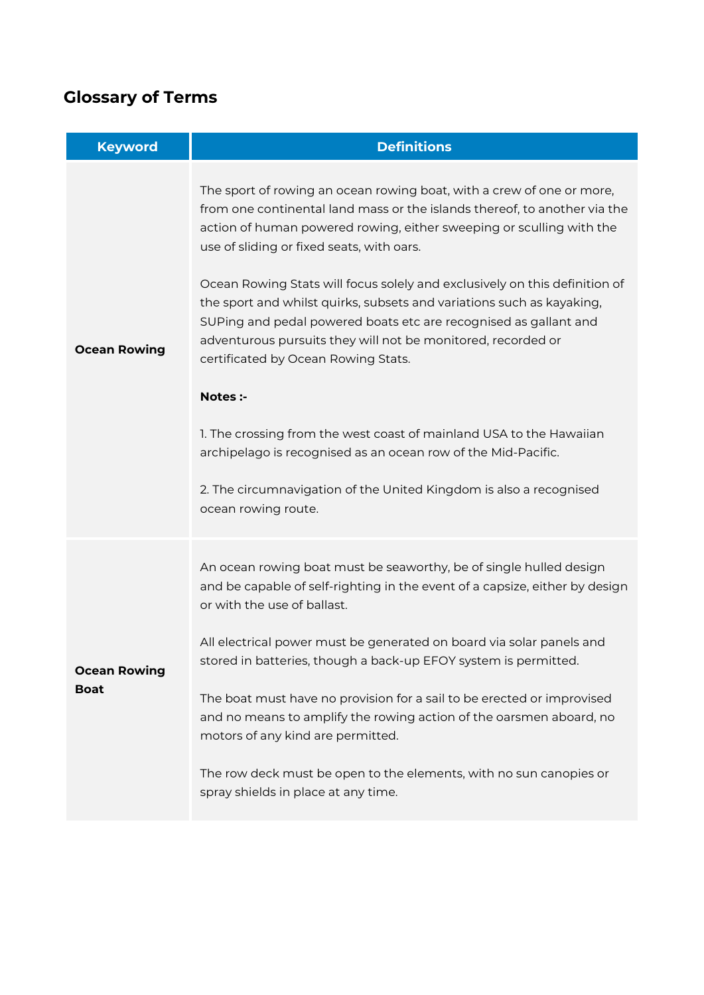## **Glossary of Terms**

| <b>Keyword</b>                     | <b>Definitions</b>                                                                                                                                                                                                                                                                                                                                                                                                                                                                                                                                                                                                                                                                                                                                                                                                                                         |
|------------------------------------|------------------------------------------------------------------------------------------------------------------------------------------------------------------------------------------------------------------------------------------------------------------------------------------------------------------------------------------------------------------------------------------------------------------------------------------------------------------------------------------------------------------------------------------------------------------------------------------------------------------------------------------------------------------------------------------------------------------------------------------------------------------------------------------------------------------------------------------------------------|
| <b>Ocean Rowing</b>                | The sport of rowing an ocean rowing boat, with a crew of one or more,<br>from one continental land mass or the islands thereof, to another via the<br>action of human powered rowing, either sweeping or sculling with the<br>use of sliding or fixed seats, with oars.<br>Ocean Rowing Stats will focus solely and exclusively on this definition of<br>the sport and whilst quirks, subsets and variations such as kayaking,<br>SUPing and pedal powered boats etc are recognised as gallant and<br>adventurous pursuits they will not be monitored, recorded or<br>certificated by Ocean Rowing Stats.<br>Notes :-<br>1. The crossing from the west coast of mainland USA to the Hawaiian<br>archipelago is recognised as an ocean row of the Mid-Pacific.<br>2. The circumnavigation of the United Kingdom is also a recognised<br>ocean rowing route. |
| <b>Ocean Rowing</b><br><b>Boat</b> | An ocean rowing boat must be seaworthy, be of single hulled design<br>and be capable of self-righting in the event of a capsize, either by design<br>or with the use of ballast.<br>All electrical power must be generated on board via solar panels and<br>stored in batteries, though a back-up EFOY system is permitted.<br>The boat must have no provision for a sail to be erected or improvised<br>and no means to amplify the rowing action of the oarsmen aboard, no<br>motors of any kind are permitted.<br>The row deck must be open to the elements, with no sun canopies or<br>spray shields in place at any time.                                                                                                                                                                                                                             |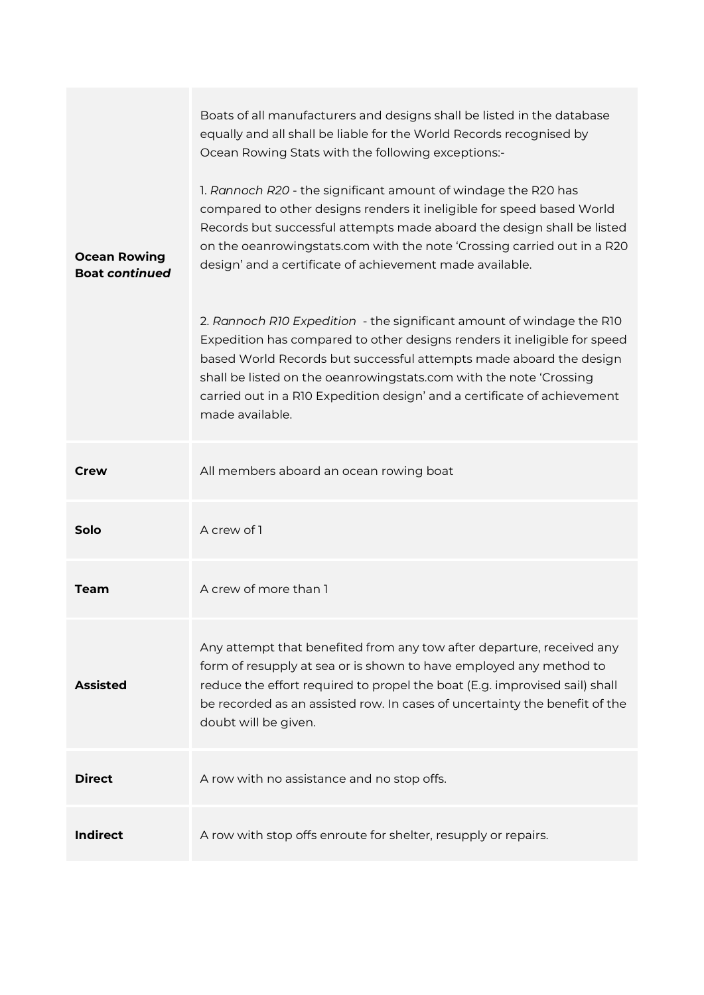|                                              | Boats of all manufacturers and designs shall be listed in the database<br>equally and all shall be liable for the World Records recognised by<br>Ocean Rowing Stats with the following exceptions:-                                                                                                                                                                                          |
|----------------------------------------------|----------------------------------------------------------------------------------------------------------------------------------------------------------------------------------------------------------------------------------------------------------------------------------------------------------------------------------------------------------------------------------------------|
| <b>Ocean Rowing</b><br><b>Boat continued</b> | 1. Rannoch R20 - the significant amount of windage the R20 has<br>compared to other designs renders it ineligible for speed based World<br>Records but successful attempts made aboard the design shall be listed<br>on the oeanrowingstats.com with the note 'Crossing carried out in a R20<br>design' and a certificate of achievement made available.                                     |
|                                              | 2. Rannoch R10 Expedition - the significant amount of windage the R10<br>Expedition has compared to other designs renders it ineligible for speed<br>based World Records but successful attempts made aboard the design<br>shall be listed on the oeanrowingstats.com with the note 'Crossing<br>carried out in a R10 Expedition design' and a certificate of achievement<br>made available. |
| Crew                                         | All members aboard an ocean rowing boat                                                                                                                                                                                                                                                                                                                                                      |
| Solo                                         | A crew of 1                                                                                                                                                                                                                                                                                                                                                                                  |
| Team                                         | A crew of more than 1                                                                                                                                                                                                                                                                                                                                                                        |
| <b>Assisted</b>                              | Any attempt that benefited from any tow after departure, received any<br>form of resupply at sea or is shown to have employed any method to<br>reduce the effort required to propel the boat (E.g. improvised sail) shall<br>be recorded as an assisted row. In cases of uncertainty the benefit of the<br>doubt will be given.                                                              |
| <b>Direct</b>                                | A row with no assistance and no stop offs.                                                                                                                                                                                                                                                                                                                                                   |
| <b>Indirect</b>                              | A row with stop offs enroute for shelter, resupply or repairs.                                                                                                                                                                                                                                                                                                                               |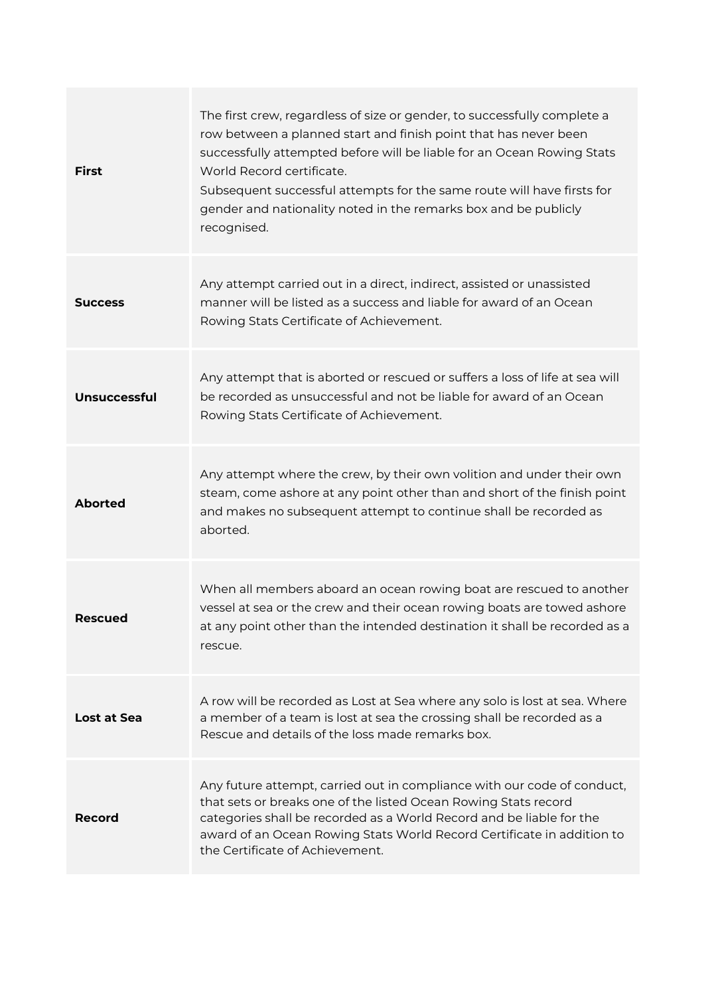| <b>First</b>        | The first crew, regardless of size or gender, to successfully complete a<br>row between a planned start and finish point that has never been<br>successfully attempted before will be liable for an Ocean Rowing Stats<br>World Record certificate.<br>Subsequent successful attempts for the same route will have firsts for<br>gender and nationality noted in the remarks box and be publicly<br>recognised. |
|---------------------|-----------------------------------------------------------------------------------------------------------------------------------------------------------------------------------------------------------------------------------------------------------------------------------------------------------------------------------------------------------------------------------------------------------------|
| <b>Success</b>      | Any attempt carried out in a direct, indirect, assisted or unassisted<br>manner will be listed as a success and liable for award of an Ocean<br>Rowing Stats Certificate of Achievement.                                                                                                                                                                                                                        |
| <b>Unsuccessful</b> | Any attempt that is aborted or rescued or suffers a loss of life at sea will<br>be recorded as unsuccessful and not be liable for award of an Ocean<br>Rowing Stats Certificate of Achievement.                                                                                                                                                                                                                 |
| <b>Aborted</b>      | Any attempt where the crew, by their own volition and under their own<br>steam, come ashore at any point other than and short of the finish point<br>and makes no subsequent attempt to continue shall be recorded as<br>aborted.                                                                                                                                                                               |
| <b>Rescued</b>      | When all members aboard an ocean rowing boat are rescued to another<br>vessel at sea or the crew and their ocean rowing boats are towed ashore<br>at any point other than the intended destination it shall be recorded as a<br>rescue.                                                                                                                                                                         |
| Lost at Sea         | A row will be recorded as Lost at Sea where any solo is lost at sea. Where<br>a member of a team is lost at sea the crossing shall be recorded as a<br>Rescue and details of the loss made remarks box.                                                                                                                                                                                                         |
| Record              | Any future attempt, carried out in compliance with our code of conduct,<br>that sets or breaks one of the listed Ocean Rowing Stats record<br>categories shall be recorded as a World Record and be liable for the<br>award of an Ocean Rowing Stats World Record Certificate in addition to<br>the Certificate of Achievement.                                                                                 |